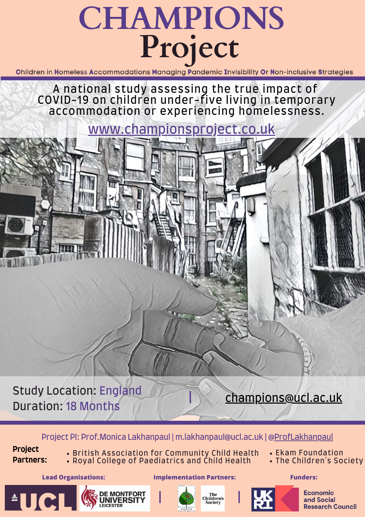# **CHAMPIONS Project**

Children in Homeless Accommodations Managing Pandemic Invisibility Or Non-inclusive Strategies

A national study assessing the true impact of COVID-19 on children under-five living in temporary accommodation or experiencing homelessness.

Project PI: Prof.Monica Lakhanpaul | m.lakhanpaul@ucl.ac.uk | [@ProfLakhanpaul](https://twitter.com/proflakhanpaul?lang=en)



**Economic** and Social **Research Council** 

# Study Location: England Duration: 18 Months

**Project Partners:**

<sup>A</sup>UCL

- British Association for Community Child Health
- Royal College of Paediatrics and Child Health

**DE MONTFORT<br>LINIVERSITY** 

- Ekam Foundation
- The Children's Society

[www.championsproject.co.uk](https://www.championsproject.co.uk/)

## **|** [champions@ucl.ac.uk](http://ucl.ac.uk/)

#### **Lead Organisations: Implementation Partners: Funders:**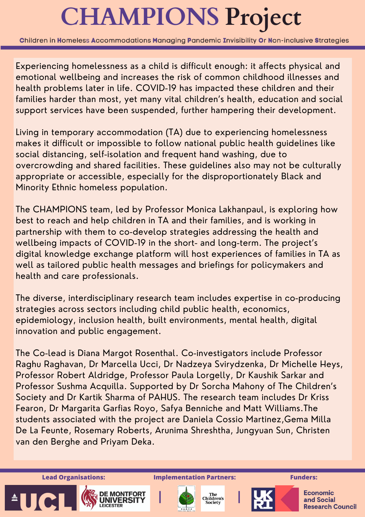# **CHAMPIONS Project**

Children in Homeless Accommodations Managing Pandemic Invisibility Or Non-inclusive Strategies

Experiencing homelessness as a child is difficult enough: it affects physical and emotional wellbeing and increases the risk of common childhood illnesses and health problems later in life. COVID-19 has impacted these children and their families harder than most, yet many vital children's health, education and social support services have been suspended, further hampering their development.

Living in temporary accommodation (TA) due to experiencing homelessness makes it difficult or impossible to follow national public health guidelines like social distancing, self-isolation and frequent hand washing, due to overcrowding and shared facilities. These guidelines also may not be culturally appropriate or accessible, especially for the disproportionately Black and Minority Ethnic homeless population.

The CHAMPIONS team, led by Professor Monica Lakhanpaul, is exploring how best to reach and help children in TA and their families, and is working in partnership with them to co-develop strategies addressing the health and wellbeing impacts of COVID-19 in the short- and long-term. The project's digital knowledge exchange platform will host experiences of families in TA as well as tailored public health messages and briefings for policymakers and health and care professionals.

The diverse, interdisciplinary research team includes expertise in co-producing strategies across sectors including child public health, economics, epidemiology, inclusion health, built environments, mental health, digital innovation and public engagement.

The Co-lead is Diana Margot Rosenthal. Co-investigators include Professor Raghu Raghavan, Dr Marcella Ucci, Dr Nadzeya Svirydzenka, Dr Michelle Heys, Professor Robert Aldridge, Professor Paula Lorgelly, Dr Kaushik Sarkar and Professor Sushma Acquilla. Supported by Dr Sorcha Mahony of The Children's Society and Dr Kartik Sharma of PAHUS. The research team includes Dr Kriss Fearon, Dr Margarita Garfias Royo, Safya Benniche and Matt Williams.The students associated with the project are Daniela Cossio Martinez,Gema Milla De La Feunte, Rosemary Roberts, Arunima Shreshtha, Jungyuan Sun, Christen van den Berghe and Priyam Deka.

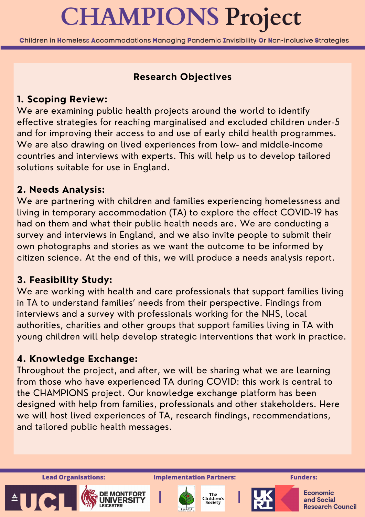### **Research Objectives**

### **1. Scoping Review:**

We are examining public health projects around the world to identify effective strategies for reaching marginalised and excluded children under-5 and for improving their access to and use of early child health programmes. We are also drawing on lived experiences from low- and middle-income countries and interviews with experts. This will help us to develop tailored solutions suitable for use in England.

### **2. Needs Analysis:**

We are working with health and care professionals that support families living in TA to understand families' needs from their perspective. Findings from interviews and a survey with professionals working for the NHS, local authorities, charities and other groups that support families living in TA with young children will help develop strategic interventions that work in practice.

We are partnering with children and families experiencing homelessness and living in temporary accommodation (TA) to explore the effect COVID-19 has had on them and what their public health needs are. We are conducting a survey and interviews in England, and we also invite people to submit their own photographs and stories as we want the outcome to be informed by citizen science. At the end of this, we will produce a needs analysis report.

#### **3. Feasibility Study:**

### **4. Knowledge Exchange:**

Throughout the project, and after, we will be sharing what we are learning from those who have experienced TA during COVID: this work is central to the CHAMPIONS project. Our knowledge exchange platform has been designed with help from families, professionals and other stakeholders. Here we will host lived experiences of TA, research findings, recommendations, and tailored public health messages.



# **CHAMPIONS Project**

Children in Homeless Accommodations Managing Pandemic Invisibility Or Non-inclusive Strategies